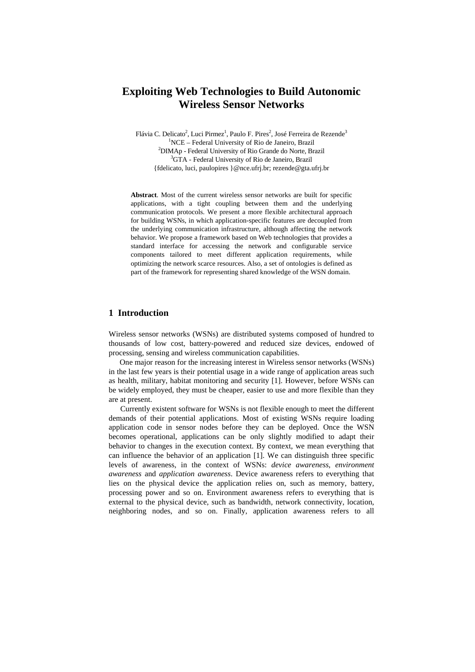# **Exploiting Web Technologies to Build Autonomic Wireless Sensor Networks**

Flávia C. Delicato<sup>2</sup>, Luci Pirmez<sup>1</sup>, Paulo F. Pires<sup>2</sup>, José Ferreira de Rezende<sup>3</sup> <sup>1</sup>NCE – Federal University of Rio de Janeiro, Brazil<br><sup>2</sup>DIMA: Federal University of Bio Granda de Norte, Bra <sup>2</sup>DIMAp - Federal University of Rio Grande do Norte, Brazil <sup>3</sup>GTA - Federal University of Rio de Janeiro, Brazil {fdelicato, luci, paulopires }@nce.ufrj.br; rezende@gta.ufrj.br

**Abstract**. Most of the current wireless sensor networks are built for specific applications, with a tight coupling between them and the underlying communication protocols. We present a more flexible architectural approach for building WSNs, in which application-specific features are decoupled from the underlying communication infrastructure, although affecting the network behavior. We propose a framework based on Web technologies that provides a standard interface for accessing the network and configurable service components tailored to meet different application requirements, while optimizing the network scarce resources. Also, a set of ontologies is defined as part of the framework for representing shared knowledge of the WSN domain.

## **1 Introduction**

Wireless sensor networks (WSNs) are distributed systems composed of hundred to thousands of low cost, battery-powered and reduced size devices, endowed of processing, sensing and wireless communication capabilities.

One major reason for the increasing interest in Wireless sensor networks (WSNs) in the last few years is their potential usage in a wide range of application areas such as health, military, habitat monitoring and security [ 1]. However, before WSNs can be widely employed, they must be cheaper, easier to use and more flexible than they are at present.

Currently existent software for WSNs is not flexible enough to meet the different demands of their potential applications. Most of existing WSNs require loading application code in sensor nodes before they can be deployed. Once the WSN becomes operational, applications can be only slightly modified to adapt their behavior to changes in the execution context. By context, we mean everything that can influence the behavior of an application [ 1]. We can distinguish three specific levels of awareness, in the context of WSNs: *device awareness*, *environment awareness* and *application awareness*. Device awareness refers to everything that lies on the physical device the application relies on, such as memory, battery, processing power and so on. Environment awareness refers to everything that is external to the physical device, such as bandwidth, network connectivity, location, neighboring nodes, and so on. Finally, application awareness refers to all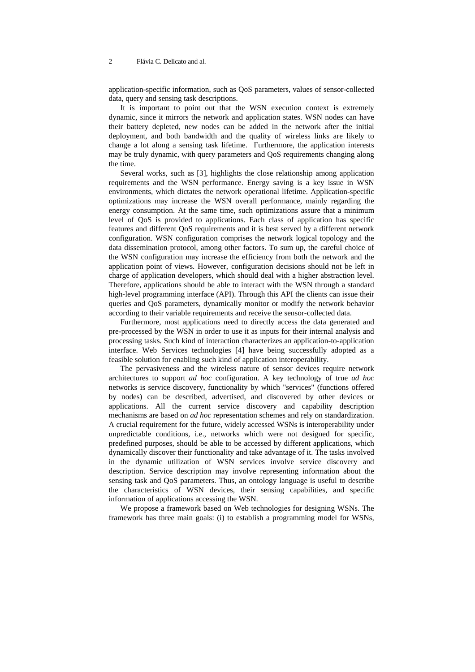application-specific information, such as QoS parameters, values of sensor-collected data, query and sensing task descriptions.

It is important to point out that the WSN execution context is extremely dynamic, since it mirrors the network and application states. WSN nodes can have their battery depleted, new nodes can be added in the network after the initial deployment, and both bandwidth and the quality of wireless links are likely to change a lot along a sensing task lifetime. Furthermore, the application interests may be truly dynamic, with query parameters and QoS requirements changing along the time.

Several works, such as [3], highlights the close relationship among application requirements and the WSN performance. Energy saving is a key issue in WSN environments, which dictates the network operational lifetime. Application-specific optimizations may increase the WSN overall performance, mainly regarding the energy consumption. At the same time, such optimizations assure that a minimum level of QoS is provided to applications. Each class of application has specific features and different QoS requirements and it is best served by a different network configuration. WSN configuration comprises the network logical topology and the data dissemination protocol, among other factors. To sum up, the careful choice of the WSN configuration may increase the efficiency from both the network and the application point of views. However, configuration decisions should not be left in charge of application developers, which should deal with a higher abstraction level. Therefore, applications should be able to interact with the WSN through a standard high-level programming interface (API). Through this API the clients can issue their queries and QoS parameters, dynamically monitor or modify the network behavior according to their variable requirements and receive the sensor-collected data.

Furthermore, most applications need to directly access the data generated and pre-processed by the WSN in order to use it as inputs for their internal analysis and processing tasks. Such kind of interaction characterizes an application-to-application interface. Web Services technologies [4] have being successfully adopted as a feasible solution for enabling such kind of application interoperability.

The pervasiveness and the wireless nature of sensor devices require network architectures to support *ad hoc* configuration. A key technology of true *ad hoc* networks is service discovery, functionality by which "services" (functions offered by nodes) can be described, advertised, and discovered by other devices or applications. All the current service discovery and capability description mechanisms are based on *ad hoc* representation schemes and rely on standardization. A crucial requirement for the future, widely accessed WSNs is interoperability under unpredictable conditions, i.e., networks which were not designed for specific, predefined purposes, should be able to be accessed by different applications, which dynamically discover their functionality and take advantage of it. The tasks involved in the dynamic utilization of WSN services involve service discovery and description. Service description may involve representing information about the sensing task and QoS parameters. Thus, an ontology language is useful to describe the characteristics of WSN devices, their sensing capabilities, and specific information of applications accessing the WSN.

We propose a framework based on Web technologies for designing WSNs. The framework has three main goals: (i) to establish a programming model for WSNs,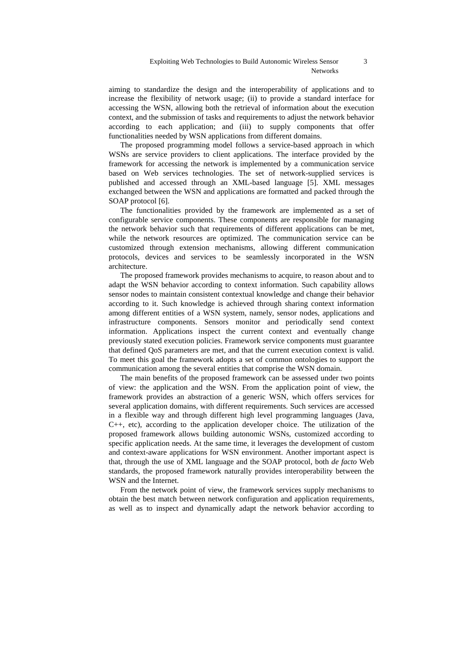aiming to standardize the design and the interoperability of applications and to increase the flexibility of network usage; (ii) to provide a standard interface for accessing the WSN, allowing both the retrieval of information about the execution context, and the submission of tasks and requirements to adjust the network behavior according to each application; and (iii) to supply components that offer functionalities needed by WSN applications from different domains.

The proposed programming model follows a service-based approach in which WSNs are service providers to client applications. The interface provided by the framework for accessing the network is implemented by a communication service based on Web services technologies. The set of network-supplied services is published and accessed through an XML-based language [5]. XML messages exchanged between the WSN and applications are formatted and packed through the SOAP protocol [6].

The functionalities provided by the framework are implemented as a set of configurable service components. These components are responsible for managing the network behavior such that requirements of different applications can be met, while the network resources are optimized. The communication service can be customized through extension mechanisms, allowing different communication protocols, devices and services to be seamlessly incorporated in the WSN architecture.

The proposed framework provides mechanisms to acquire, to reason about and to adapt the WSN behavior according to context information. Such capability allows sensor nodes to maintain consistent contextual knowledge and change their behavior according to it. Such knowledge is achieved through sharing context information among different entities of a WSN system, namely, sensor nodes, applications and infrastructure components. Sensors monitor and periodically send context information. Applications inspect the current context and eventually change previously stated execution policies. Framework service components must guarantee that defined QoS parameters are met, and that the current execution context is valid. To meet this goal the framework adopts a set of common ontologies to support the communication among the several entities that comprise the WSN domain.

The main benefits of the proposed framework can be assessed under two points of view: the application and the WSN. From the application point of view, the framework provides an abstraction of a generic WSN, which offers services for several application domains, with different requirements. Such services are accessed in a flexible way and through different high level programming languages (Java, C++, etc), according to the application developer choice. The utilization of the proposed framework allows building autonomic WSNs, customized according to specific application needs. At the same time, it leverages the development of custom and context-aware applications for WSN environment. Another important aspect is that, through the use of XML language and the SOAP protocol, both *de facto* Web standards, the proposed framework naturally provides interoperability between the WSN and the Internet.

From the network point of view, the framework services supply mechanisms to obtain the best match between network configuration and application requirements, as well as to inspect and dynamically adapt the network behavior according to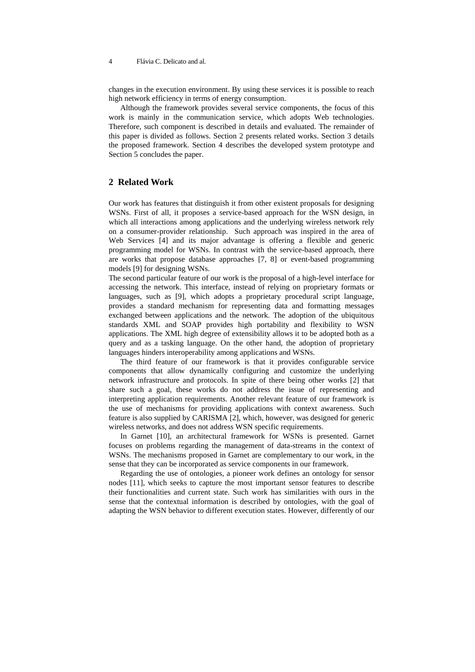changes in the execution environment. By using these services it is possible to reach high network efficiency in terms of energy consumption.

Although the framework provides several service components, the focus of this work is mainly in the communication service, which adopts Web technologies. Therefore, such component is described in details and evaluated. The remainder of this paper is divided as follows. Section 2 presents related works. Section 3 details the proposed framework. Section 4 describes the developed system prototype and Section 5 concludes the paper.

# **2 Related Work**

Our work has features that distinguish it from other existent proposals for designing WSNs. First of all, it proposes a service-based approach for the WSN design, in which all interactions among applications and the underlying wireless network rely on a consumer-provider relationship. Such approach was inspired in the area of Web Services [4] and its major advantage is offering a flexible and generic programming model for WSNs. In contrast with the service-based approach, there are works that propose database approaches [ 7, 8] or event-based programming models [9] for designing WSNs.

The second particular feature of our work is the proposal of a high-level interface for accessing the network. This interface, instead of relying on proprietary formats or languages, such as [9], which adopts a proprietary procedural script language, provides a standard mechanism for representing data and formatting messages exchanged between applications and the network. The adoption of the ubiquitous standards XML and SOAP provides high portability and flexibility to WSN applications. The XML high degree of extensibility allows it to be adopted both as a query and as a tasking language. On the other hand, the adoption of proprietary languages hinders interoperability among applications and WSNs.

The third feature of our framework is that it provides configurable service components that allow dynamically configuring and customize the underlying network infrastructure and protocols. In spite of there being other works [ 2] that share such a goal, these works do not address the issue of representing and interpreting application requirements. Another relevant feature of our framework is the use of mechanisms for providing applications with context awareness. Such feature is also supplied by CARISMA [ 2], which, however, was designed for generic wireless networks, and does not address WSN specific requirements.

In Garnet [10], an architectural framework for WSNs is presented. Garnet focuses on problems regarding the management of data-streams in the context of WSNs. The mechanisms proposed in Garnet are complementary to our work, in the sense that they can be incorporated as service components in our framework.

Regarding the use of ontologies, a pioneer work defines an ontology for sensor nodes [ 11], which seeks to capture the most important sensor features to describe their functionalities and current state. Such work has similarities with ours in the sense that the contextual information is described by ontologies, with the goal of adapting the WSN behavior to different execution states. However, differently of our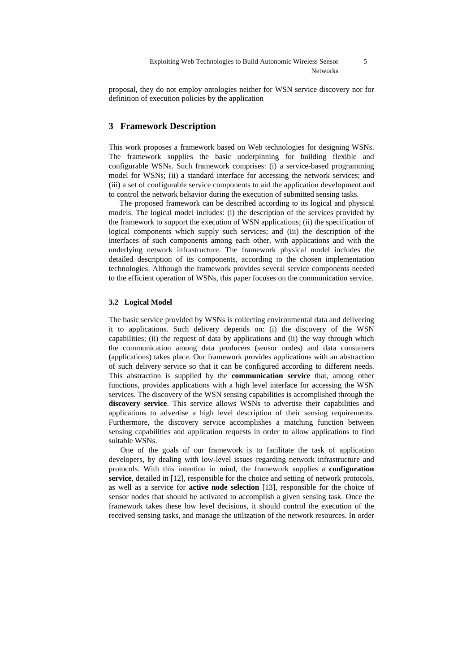proposal, they do not employ ontologies neither for WSN service discovery nor for definition of execution policies by the application

# **3 Framework Description**

This work proposes a framework based on Web technologies for designing WSNs. The framework supplies the basic underpinning for building flexible and configurable WSNs. Such framework comprises: (i) a service-based programming model for WSNs; (ii) a standard interface for accessing the network services; and (iii) a set of configurable service components to aid the application development and to control the network behavior during the execution of submitted sensing tasks.

The proposed framework can be described according to its logical and physical models. The logical model includes: (i) the description of the services provided by the framework to support the execution of WSN applications; (ii) the specification of logical components which supply such services; and (iii) the description of the interfaces of such components among each other, with applications and with the underlying network infrastructure. The framework physical model includes the detailed description of its components, according to the chosen implementation technologies. Although the framework provides several service components needed to the efficient operation of WSNs, this paper focuses on the communication service.

#### **3.2 Logical Model**

The basic service provided by WSNs is collecting environmental data and delivering it to applications. Such delivery depends on: (i) the discovery of the WSN capabilities; (ii) the request of data by applications and (ii) the way through which the communication among data producers (sensor nodes) and data consumers (applications) takes place. Our framework provides applications with an abstraction of such delivery service so that it can be configured according to different needs. This abstraction is supplied by the **communication service** that, among other functions, provides applications with a high level interface for accessing the WSN services. The discovery of the WSN sensing capabilities is accomplished through the **discovery service**. This service allows WSNs to advertise their capabilities and applications to advertise a high level description of their sensing requirements. Furthermore, the discovery service accomplishes a matching function between sensing capabilities and application requests in order to allow applications to find suitable WSNs.

One of the goals of our framework is to facilitate the task of application developers, by dealing with low-level issues regarding network infrastructure and protocols. With this intention in mind, the framework supplies a **configuration**  service, detailed in [12], responsible for the choice and setting of network protocols, as well as a service for **active node selection** [13], responsible for the choice of sensor nodes that should be activated to accomplish a given sensing task. Once the framework takes these low level decisions, it should control the execution of the received sensing tasks, and manage the utilization of the network resources. In order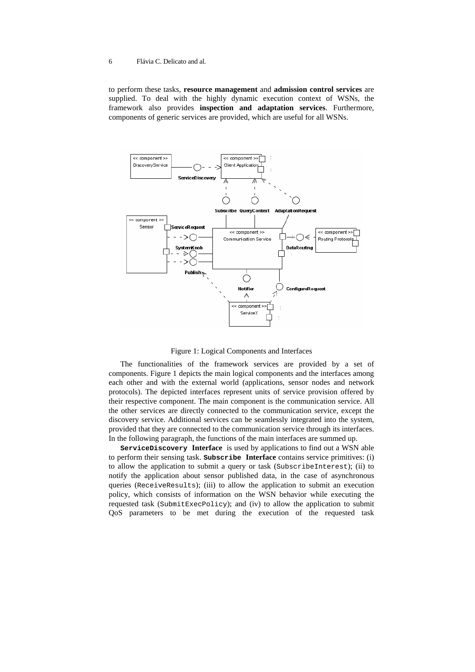to perform these tasks, **resource management** and **admission control services** are supplied. To deal with the highly dynamic execution context of WSNs, the framework also provides **inspection and adaptation services**. Furthermore, components of generic services are provided, which are useful for all WSNs.



Figure 1: Logical Components and Interfaces

The functionalities of the framework services are provided by a set of components. Figure 1 depicts the main logical components and the interfaces among each other and with the external world (applications, sensor nodes and network protocols). The depicted interfaces represent units of service provision offered by their respective component. The main component is the communication service. All the other services are directly connected to the communication service, except the discovery service. Additional services can be seamlessly integrated into the system, provided that they are connected to the communication service through its interfaces. In the following paragraph, the functions of the main interfaces are summed up.

**ServiceDiscovery Interface** is used by applications to find out a WSN able to perform their sensing task. **Subscribe Interface** contains service primitives: (i) to allow the application to submit a query or task (SubscribeInterest); (ii) to notify the application about sensor published data, in the case of asynchronous queries (ReceiveResults); (iii) to allow the application to submit an execution policy, which consists of information on the WSN behavior while executing the requested task (SubmitExecPolicy); and (iv) to allow the application to submit QoS parameters to be met during the execution of the requested task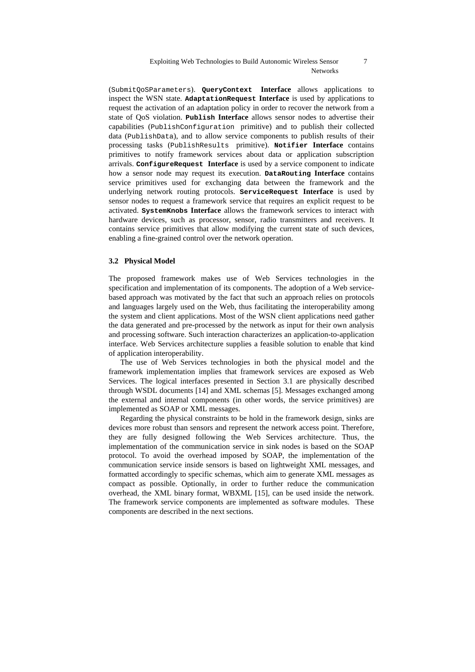#### Exploiting Web Technologies to Build Autonomic Wireless Sensor Networks

(SubmitQoSParameters). **QueryContext Interface** allows applications to inspect the WSN state. **AdaptationRequest Interface** is used by applications to request the activation of an adaptation policy in order to recover the network from a state of QoS violation. **Publish Interface** allows sensor nodes to advertise their capabilities (PublishConfiguration primitive) and to publish their collected data (PublishData), and to allow service components to publish results of their processing tasks (PublishResults primitive). **Notifier Interface** contains primitives to notify framework services about data or application subscription arrivals. **ConfigureRequest Interface** is used by a service component to indicate how a sensor node may request its execution. **DataRouting Interface** contains service primitives used for exchanging data between the framework and the underlying network routing protocols. **ServiceRequest Interface** is used by sensor nodes to request a framework service that requires an explicit request to be activated. **SystemKnobs Interface** allows the framework services to interact with hardware devices, such as processor, sensor, radio transmitters and receivers. It contains service primitives that allow modifying the current state of such devices, enabling a fine-grained control over the network operation.

#### **3.2 Physical Model**

The proposed framework makes use of Web Services technologies in the specification and implementation of its components. The adoption of a Web servicebased approach was motivated by the fact that such an approach relies on protocols and languages largely used on the Web, thus facilitating the interoperability among the system and client applications. Most of the WSN client applications need gather the data generated and pre-processed by the network as input for their own analysis and processing software. Such interaction characterizes an application-to-application interface. Web Services architecture supplies a feasible solution to enable that kind of application interoperability.

The use of Web Services technologies in both the physical model and the framework implementation implies that framework services are exposed as Web Services. The logical interfaces presented in Section 3.1 are physically described through WSDL documents [14] and XML schemas [5]. Messages exchanged among the external and internal components (in other words, the service primitives) are implemented as SOAP or XML messages.

Regarding the physical constraints to be hold in the framework design, sinks are devices more robust than sensors and represent the network access point. Therefore, they are fully designed following the Web Services architecture. Thus, the implementation of the communication service in sink nodes is based on the SOAP protocol. To avoid the overhead imposed by SOAP, the implementation of the communication service inside sensors is based on lightweight XML messages, and formatted accordingly to specific schemas, which aim to generate XML messages as compact as possible. Optionally, in order to further reduce the communication overhead, the XML binary format, WBXML [ 15], can be used inside the network. The framework service components are implemented as software modules. These components are described in the next sections.

7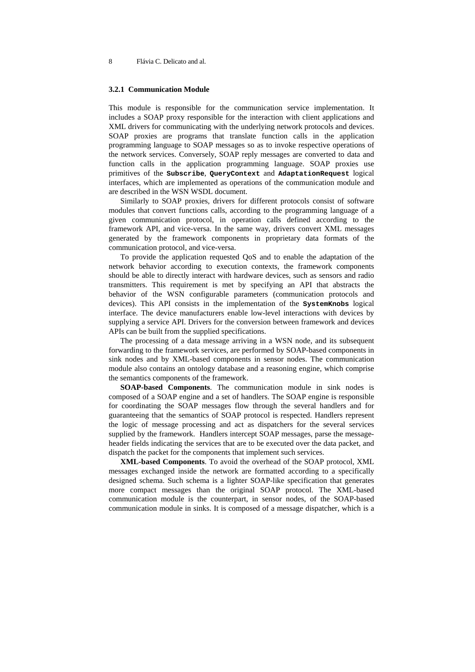#### **3.2.1 Communication Module**

This module is responsible for the communication service implementation. It includes a SOAP proxy responsible for the interaction with client applications and XML drivers for communicating with the underlying network protocols and devices. SOAP proxies are programs that translate function calls in the application programming language to SOAP messages so as to invoke respective operations of the network services. Conversely, SOAP reply messages are converted to data and function calls in the application programming language. SOAP proxies use primitives of the **Subscribe**, **QueryContext** and **AdaptationRequest** logical interfaces, which are implemented as operations of the communication module and are described in the WSN WSDL document.

Similarly to SOAP proxies, drivers for different protocols consist of software modules that convert functions calls, according to the programming language of a given communication protocol, in operation calls defined according to the framework API, and vice-versa. In the same way, drivers convert XML messages generated by the framework components in proprietary data formats of the communication protocol, and vice-versa.

To provide the application requested QoS and to enable the adaptation of the network behavior according to execution contexts, the framework components should be able to directly interact with hardware devices, such as sensors and radio transmitters. This requirement is met by specifying an API that abstracts the behavior of the WSN configurable parameters (communication protocols and devices). This API consists in the implementation of the **SystemKnobs** logical interface. The device manufacturers enable low-level interactions with devices by supplying a service API. Drivers for the conversion between framework and devices APIs can be built from the supplied specifications.

The processing of a data message arriving in a WSN node, and its subsequent forwarding to the framework services, are performed by SOAP-based components in sink nodes and by XML-based components in sensor nodes. The communication module also contains an ontology database and a reasoning engine, which comprise the semantics components of the framework.

**SOAP-based Components**. The communication module in sink nodes is composed of a SOAP engine and a set of handlers. The SOAP engine is responsible for coordinating the SOAP messages flow through the several handlers and for guaranteeing that the semantics of SOAP protocol is respected. Handlers represent the logic of message processing and act as dispatchers for the several services supplied by the framework. Handlers intercept SOAP messages, parse the messageheader fields indicating the services that are to be executed over the data packet, and dispatch the packet for the components that implement such services.

**XML-based Components**. To avoid the overhead of the SOAP protocol, XML messages exchanged inside the network are formatted according to a specifically designed schema. Such schema is a lighter SOAP-like specification that generates more compact messages than the original SOAP protocol. The XML-based communication module is the counterpart, in sensor nodes, of the SOAP-based communication module in sinks. It is composed of a message dispatcher, which is a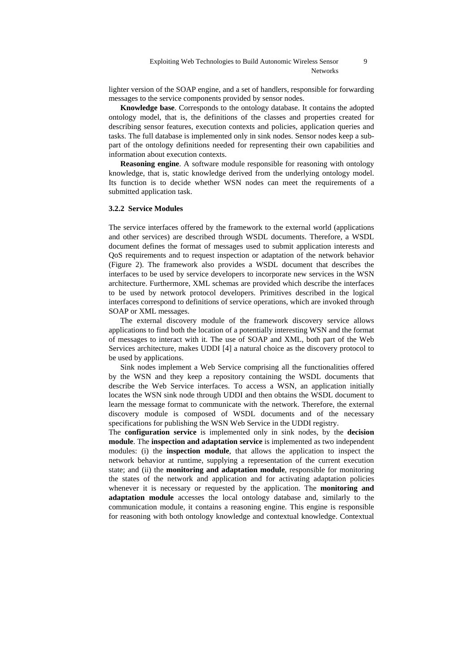lighter version of the SOAP engine, and a set of handlers, responsible for forwarding messages to the service components provided by sensor nodes.

**Knowledge base**. Corresponds to the ontology database. It contains the adopted ontology model, that is, the definitions of the classes and properties created for describing sensor features, execution contexts and policies, application queries and tasks. The full database is implemented only in sink nodes. Sensor nodes keep a subpart of the ontology definitions needed for representing their own capabilities and information about execution contexts.

**Reasoning engine**. A software module responsible for reasoning with ontology knowledge, that is, static knowledge derived from the underlying ontology model. Its function is to decide whether WSN nodes can meet the requirements of a submitted application task.

#### **3.2.2 Service Modules**

The service interfaces offered by the framework to the external world (applications and other services) are described through WSDL documents. Therefore, a WSDL document defines the format of messages used to submit application interests and QoS requirements and to request inspection or adaptation of the network behavior (Figure 2). The framework also provides a WSDL document that describes the interfaces to be used by service developers to incorporate new services in the WSN architecture. Furthermore, XML schemas are provided which describe the interfaces to be used by network protocol developers. Primitives described in the logical interfaces correspond to definitions of service operations, which are invoked through SOAP or XML messages.

The external discovery module of the framework discovery service allows applications to find both the location of a potentially interesting WSN and the format of messages to interact with it. The use of SOAP and XML, both part of the Web Services architecture, makes UDDI [4] a natural choice as the discovery protocol to be used by applications.

Sink nodes implement a Web Service comprising all the functionalities offered by the WSN and they keep a repository containing the WSDL documents that describe the Web Service interfaces. To access a WSN, an application initially locates the WSN sink node through UDDI and then obtains the WSDL document to learn the message format to communicate with the network. Therefore, the external discovery module is composed of WSDL documents and of the necessary specifications for publishing the WSN Web Service in the UDDI registry.

The **configuration service** is implemented only in sink nodes, by the **decision module**. The **inspection and adaptation service** is implemented as two independent modules: (i) the **inspection module**, that allows the application to inspect the network behavior at runtime, supplying a representation of the current execution state; and (ii) the **monitoring and adaptation module**, responsible for monitoring the states of the network and application and for activating adaptation policies whenever it is necessary or requested by the application. The **monitoring and adaptation module** accesses the local ontology database and, similarly to the communication module, it contains a reasoning engine. This engine is responsible for reasoning with both ontology knowledge and contextual knowledge. Contextual

9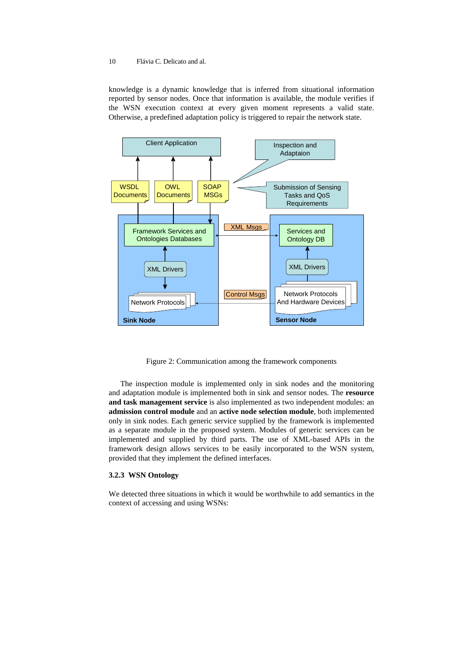knowledge is a dynamic knowledge that is inferred from situational information reported by sensor nodes. Once that information is available, the module verifies if the WSN execution context at every given moment represents a valid state. Otherwise, a predefined adaptation policy is triggered to repair the network state.



Figure 2: Communication among the framework components

The inspection module is implemented only in sink nodes and the monitoring and adaptation module is implemented both in sink and sensor nodes. The **resource and task management service** is also implemented as two independent modules: an **admission control module** and an **active node selection module**, both implemented only in sink nodes. Each generic service supplied by the framework is implemented as a separate module in the proposed system. Modules of generic services can be implemented and supplied by third parts. The use of XML-based APIs in the framework design allows services to be easily incorporated to the WSN system, provided that they implement the defined interfaces.

### **3.2.3 WSN Ontology**

We detected three situations in which it would be worthwhile to add semantics in the context of accessing and using WSNs: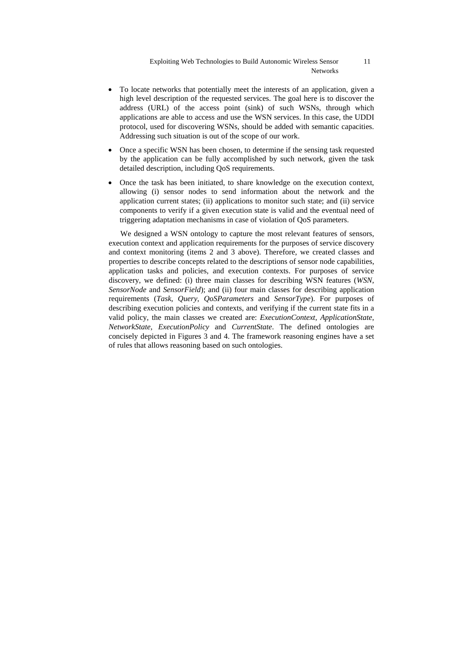- To locate networks that potentially meet the interests of an application, given a high level description of the requested services. The goal here is to discover the address (URL) of the access point (sink) of such WSNs, through which applications are able to access and use the WSN services. In this case, the UDDI protocol, used for discovering WSNs, should be added with semantic capacities. Addressing such situation is out of the scope of our work.
- Once a specific WSN has been chosen, to determine if the sensing task requested by the application can be fully accomplished by such network, given the task detailed description, including QoS requirements.
- Once the task has been initiated, to share knowledge on the execution context, allowing (i) sensor nodes to send information about the network and the application current states; (ii) applications to monitor such state; and (ii) service components to verify if a given execution state is valid and the eventual need of triggering adaptation mechanisms in case of violation of QoS parameters.

We designed a WSN ontology to capture the most relevant features of sensors, execution context and application requirements for the purposes of service discovery and context monitoring (items 2 and 3 above). Therefore, we created classes and properties to describe concepts related to the descriptions of sensor node capabilities, application tasks and policies, and execution contexts. For purposes of service discovery, we defined: (i) three main classes for describing WSN features (*WSN*, *SensorNode* and *SensorField*); and (ii) four main classes for describing application requirements (*Task*, *Query*, *QoSParameters* and *SensorType*). For purposes of describing execution policies and contexts, and verifying if the current state fits in a valid policy, the main classes we created are: *ExecutionContext*, *ApplicationState*, *NetworkState*, *ExecutionPolicy* and *CurrentState*. The defined ontologies are concisely depicted in Figures 3 and 4. The framework reasoning engines have a set of rules that allows reasoning based on such ontologies.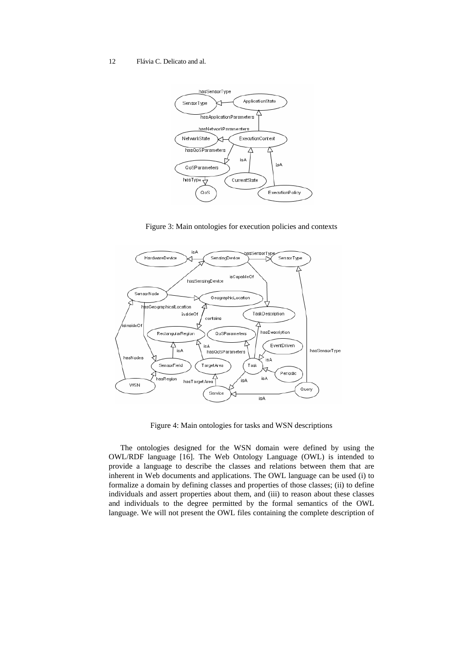

Figure 3: Main ontologies for execution policies and contexts



Figure 4: Main ontologies for tasks and WSN descriptions

The ontologies designed for the WSN domain were defined by using the OWL/RDF language [ 16]. The Web Ontology Language (OWL) is intended to provide a language to describe the classes and relations between them that are inherent in Web documents and applications. The OWL language can be used (i) to formalize a domain by defining classes and properties of those classes; (ii) to define individuals and assert properties about them, and (iii) to reason about these classes and individuals to the degree permitted by the formal semantics of the OWL language. We will not present the OWL files containing the complete description of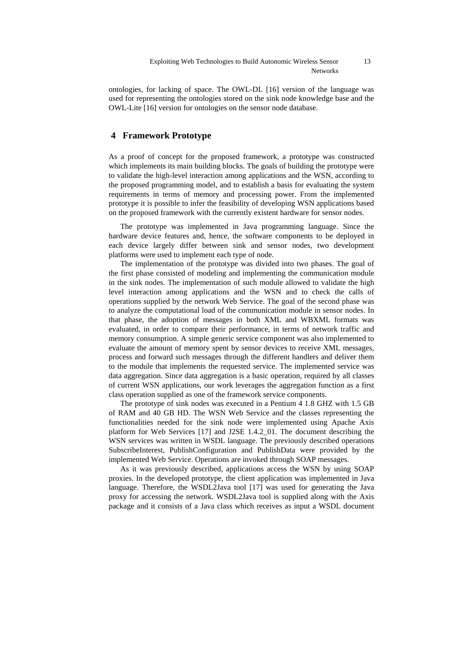ontologies, for lacking of space. The OWL-DL [ 16] version of the language was used for representing the ontologies stored on the sink node knowledge base and the OWL-Lite [ 16] version for ontologies on the sensor node database.

# **4 Framework Prototype**

As a proof of concept for the proposed framework, a prototype was constructed which implements its main building blocks. The goals of building the prototype were to validate the high-level interaction among applications and the WSN, according to the proposed programming model, and to establish a basis for evaluating the system requirements in terms of memory and processing power. From the implemented prototype it is possible to infer the feasibility of developing WSN applications based on the proposed framework with the currently existent hardware for sensor nodes.

The prototype was implemented in Java programming language. Since the hardware device features and, hence, the software components to be deployed in each device largely differ between sink and sensor nodes, two development platforms were used to implement each type of node.

The implementation of the prototype was divided into two phases. The goal of the first phase consisted of modeling and implementing the communication module in the sink nodes. The implementation of such module allowed to validate the high level interaction among applications and the WSN and to check the calls of operations supplied by the network Web Service. The goal of the second phase was to analyze the computational load of the communication module in sensor nodes. In that phase, the adoption of messages in both XML and WBXML formats was evaluated, in order to compare their performance, in terms of network traffic and memory consumption. A simple generic service component was also implemented to evaluate the amount of memory spent by sensor devices to receive XML messages, process and forward such messages through the different handlers and deliver them to the module that implements the requested service. The implemented service was data aggregation. Since data aggregation is a basic operation, required by all classes of current WSN applications, our work leverages the aggregation function as a first class operation supplied as one of the framework service components.

The prototype of sink nodes was executed in a Pentium 4 1.8 GHZ with 1.5 GB of RAM and 40 GB HD. The WSN Web Service and the classes representing the functionalities needed for the sink node were implemented using Apache Axis platform for Web Services [17] and J2SE 1.4.2\_01. The document describing the WSN services was written in WSDL language. The previously described operations SubscribeInterest, PublishConfiguration and PublishData were provided by the implemented Web Service. Operations are invoked through SOAP messages.

As it was previously described, applications access the WSN by using SOAP proxies. In the developed prototype, the client application was implemented in Java language. Therefore, the WSDL2Java tool [17] was used for generating the Java proxy for accessing the network. WSDL2Java tool is supplied along with the Axis package and it consists of a Java class which receives as input a WSDL document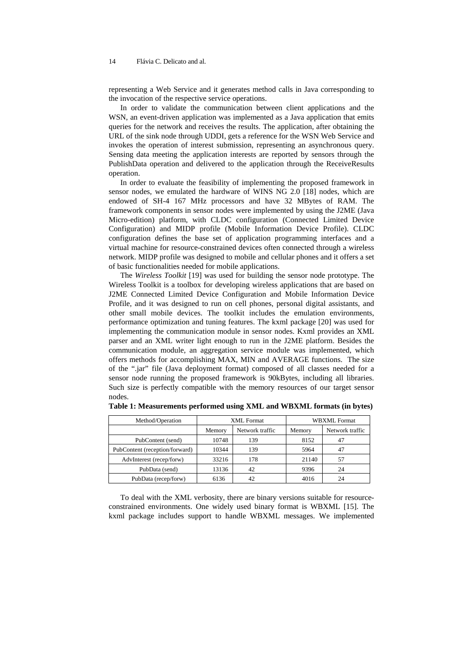representing a Web Service and it generates method calls in Java corresponding to the invocation of the respective service operations.

In order to validate the communication between client applications and the WSN, an event-driven application was implemented as a Java application that emits queries for the network and receives the results. The application, after obtaining the URL of the sink node through UDDI, gets a reference for the WSN Web Service and invokes the operation of interest submission, representing an asynchronous query. Sensing data meeting the application interests are reported by sensors through the PublishData operation and delivered to the application through the ReceiveResults operation.

In order to evaluate the feasibility of implementing the proposed framework in sensor nodes, we emulated the hardware of WINS NG 2.0 [ 18] nodes, which are endowed of SH-4 167 MHz processors and have 32 MBytes of RAM. The framework components in sensor nodes were implemented by using the J2ME (Java Micro-edition) platform, with CLDC configuration (Connected Limited Device Configuration) and MIDP profile (Mobile Information Device Profile). CLDC configuration defines the base set of application programming interfaces and a virtual machine for resource-constrained devices often connected through a wireless network. MIDP profile was designed to mobile and cellular phones and it offers a set of basic functionalities needed for mobile applications.

The *Wireless Toolkit* [19] was used for building the sensor node prototype. The Wireless Toolkit is a toolbox for developing wireless applications that are based on J2ME Connected Limited Device Configuration and Mobile Information Device Profile, and it was designed to run on cell phones, personal digital assistants, and other small mobile devices. The toolkit includes the emulation environments, performance optimization and tuning features. The kxml package [20] was used for implementing the communication module in sensor nodes. Kxml provides an XML parser and an XML writer light enough to run in the J2ME platform. Besides the communication module, an aggregation service module was implemented, which offers methods for accomplishing MAX, MIN and AVERAGE functions. The size of the ".jar" file (Java deployment format) composed of all classes needed for a sensor node running the proposed framework is 90kBytes, including all libraries. Such size is perfectly compatible with the memory resources of our target sensor nodes.

| Method/Operation               | XML Format |                 | <b>WBXML</b> Format |                 |
|--------------------------------|------------|-----------------|---------------------|-----------------|
|                                | Memory     | Network traffic | Memory              | Network traffic |
| PubContent (send)              | 10748      | 139             | 8152                | 47              |
| PubContent (reception/forward) | 10344      | 139             | 5964                | 47              |
| AdvInterest (recep/forw)       | 33216      | 178             | 21140               | 57              |
| PubData (send)                 | 13136      | 42              | 9396                | 24              |
| PubData (recep/forw)           | 6136       | 42              | 4016                | 24              |

**Table 1: Measurements performed using XML and WBXML formats (in bytes)** 

To deal with the XML verbosity, there are binary versions suitable for resourceconstrained environments. One widely used binary format is WBXML [ 15]. The kxml package includes support to handle WBXML messages. We implemented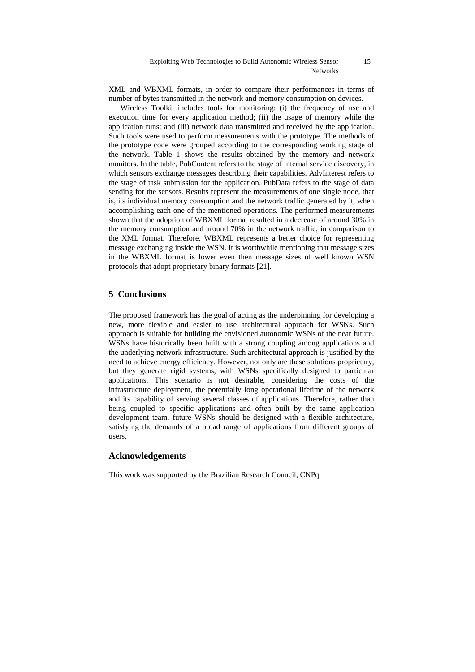XML and WBXML formats, in order to compare their performances in terms of number of bytes transmitted in the network and memory consumption on devices.

Wireless Toolkit includes tools for monitoring: (i) the frequency of use and execution time for every application method; (ii) the usage of memory while the application runs; and (iii) network data transmitted and received by the application. Such tools were used to perform measurements with the prototype. The methods of the prototype code were grouped according to the corresponding working stage of the network. Table 1 shows the results obtained by the memory and network monitors. In the table, PubContent refers to the stage of internal service discovery, in which sensors exchange messages describing their capabilities. AdvInterest refers to the stage of task submission for the application. PubData refers to the stage of data sending for the sensors. Results represent the measurements of one single node, that is, its individual memory consumption and the network traffic generated by it, when accomplishing each one of the mentioned operations. The performed measurements shown that the adoption of WBXML format resulted in a decrease of around 30% in the memory consumption and around 70% in the network traffic, in comparison to the XML format. Therefore, WBXML represents a better choice for representing message exchanging inside the WSN. It is worthwhile mentioning that message sizes in the WBXML format is lower even then message sizes of well known WSN protocols that adopt proprietary binary formats [ 21].

# **5 Conclusions**

The proposed framework has the goal of acting as the underpinning for developing a new, more flexible and easier to use architectural approach for WSNs. Such approach is suitable for building the envisioned autonomic WSNs of the near future. WSNs have historically been built with a strong coupling among applications and the underlying network infrastructure. Such architectural approach is justified by the need to achieve energy efficiency. However, not only are these solutions proprietary, but they generate rigid systems, with WSNs specifically designed to particular applications. This scenario is not desirable, considering the costs of the infrastructure deployment, the potentially long operational lifetime of the network and its capability of serving several classes of applications. Therefore, rather than being coupled to specific applications and often built by the same application development team, future WSNs should be designed with a flexible architecture, satisfying the demands of a broad range of applications from different groups of users.

## **Acknowledgements**

This work was supported by the Brazilian Research Council, CNPq.